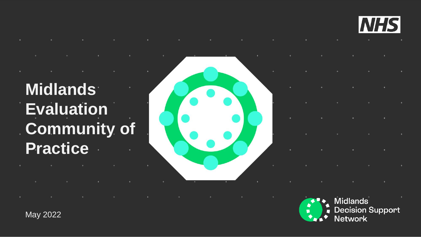

## **Midlands Evaluation Community of Practice**

May 2022

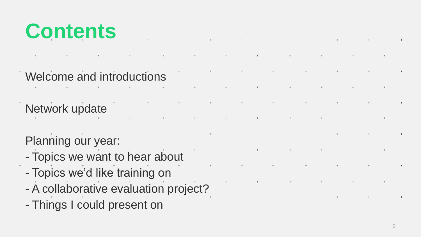

- Welcome and introductions
- 
- Network update
- 
- Planning our year:
- Topics we want to hear about
- Topics we'd like training on
- A collaborative evaluation project?
- Things I could present on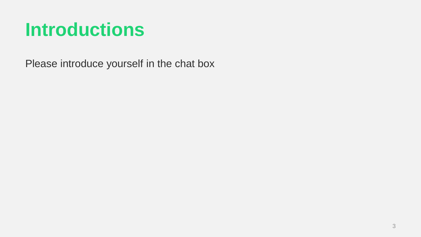#### **Introductions**

Please introduce yourself in the chat box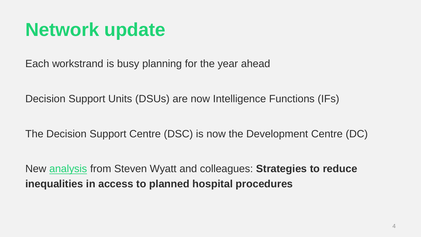#### **Network update**

Each workstrand is busy planning for the year ahead

Decision Support Units (DSUs) are now Intelligence Functions (IFs)

The Decision Support Centre (DSC) is now the Development Centre (DC)

New [analysis](https://www.midlandsdecisionsupport.nhs.uk/knowledge-library/strategies-to-reduce-inequalities-in-access-to-planned-hospital-procedures/) from Steven Wyatt and colleagues: **Strategies to reduce inequalities in access to planned hospital procedures**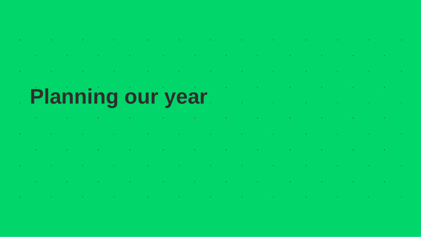1. 그 사람은 그 사람들은 그 사람들은 그 사람들을 만들고 있다. 그 사람들은 그 사람들은 그 사람들은 그 사람들을 만들고 있다.

1. 그 사람은 그 사람들은 그 사람들은 그 사람들은 그 사람들을 만들고 있다. 그 사람들은 그 사람들은 그 사람들은 그 사람들을 만들고 있다. 그 사람들은 그 사람들은 그 사람들을 만들고 있다.

1. 2007년 1월 20일 - 1월 20일 - 1월 20일 - 1월 20일 - 1월 20일 - 1월 20일 - 1월 20일 - 1월 20일 - 1월 20일 - 1월 20일 - 1

 $\mathcal{L}(\mathcal{L}(\mathcal{L}(\mathcal{L}(\mathcal{L}(\mathcal{L}(\mathcal{L}(\mathcal{L}(\mathcal{L}(\mathcal{L}(\mathcal{L}(\mathcal{L}(\mathcal{L}(\mathcal{L}(\mathcal{L}(\mathcal{L}(\mathcal{L}(\mathcal{L}(\mathcal{L}(\mathcal{L}(\mathcal{L}(\mathcal{L}(\mathcal{L}(\mathcal{L}(\mathcal{L}(\mathcal{L}(\mathcal{L}(\mathcal{L}(\mathcal{L}(\mathcal{L}(\mathcal{L}(\mathcal{L}(\mathcal{L}(\mathcal{L}(\mathcal{L}(\mathcal{L}(\mathcal{$ 

the contract of the contract of the contract of the contract of

#### the control of the control of the Planning our year

الموارد والأسار والأسار والمتواطن والأسار والموارد والموارد والمتواطن والأسار والمتواطن والموارد والموارد والموارد

1. 그 아이는 그 그 사람들은 그 사람들은 그 사람들을 만들어 보이는 것이 없다. 그 사람들은 그 사람들은 그 사람들은 그 사람들을 만들어 보이는 것이다.

الموارد والمتواطن والمستقر والمتواطن والمتواطن والمتواطن والمتواطن والمتواطن والمتواطن والمتواطن والمتواطن والمتواطن

المنافرة والمستحقق والمستحقق والمستحقق والمتعارض والمتعارض والمتعارف والمتحال والمتحال والمتحال والمتحال والمستحق

,我们也不会有什么。""我们,我们也不会有什么?""我们,我们也不会有什么?""我们,我们也不会有什么?""我们,我们也不会有什么?""我们,我们也不会有什么?"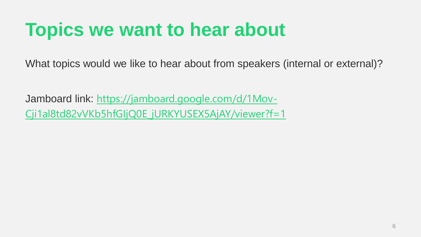#### **Topics we want to hear about**

What topics would we like to hear about from speakers (internal or external)?

Jamboard link: https://jamboard.google.com/d/1Mov-[Cji1al8td82vVKb5hfGIjQ0E\\_jURKYUSEX5AjAY/viewer?f=1](https://jamboard.google.com/d/1Mov-Cji1al8td82vVKb5hfGIjQ0E_jURKYUSEX5AjAY/viewer?f=1)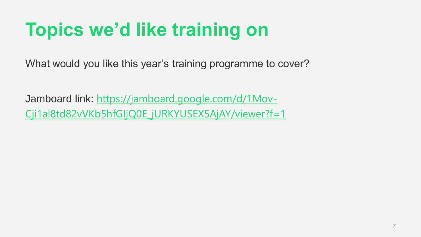## **Topics we'd like training on**

What would you like this year's training programme to cover?

Jamboard link: https://jamboard.google.com/d/1Mov-[Cji1al8td82vVKb5hfGIjQ0E\\_jURKYUSEX5AjAY/viewer?f=1](https://jamboard.google.com/d/1Mov-Cji1al8td82vVKb5hfGIjQ0E_jURKYUSEX5AjAY/viewer?f=1)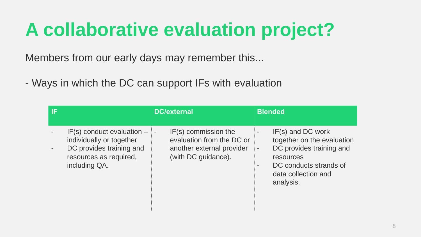#### **A collaborative evaluation project?**

Members from our early days may remember this...

- Ways in which the DC can support IFs with evaluation

| -IF |                                                                                                                                   | <b>DC/external</b>                                                                                           | <b>Blended</b>                                                                                                                                           |
|-----|-----------------------------------------------------------------------------------------------------------------------------------|--------------------------------------------------------------------------------------------------------------|----------------------------------------------------------------------------------------------------------------------------------------------------------|
|     | $IF(s)$ conduct evaluation $-$<br>individually or together<br>DC provides training and<br>resources as required,<br>including QA. | $IF(s)$ commission the<br>-<br>evaluation from the DC or<br>another external provider<br>(with DC guidance). | $IF(s)$ and DC work<br>together on the evaluation<br>DC provides training and<br>resources<br>DC conducts strands of<br>data collection and<br>analysis. |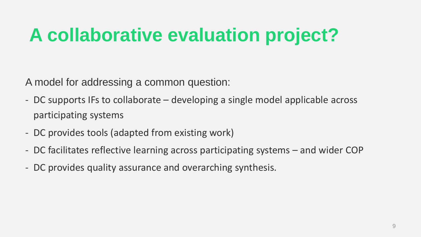### **A collaborative evaluation project?**

A model for addressing a common question:

- DC supports IFs to collaborate developing a single model applicable across participating systems
- DC provides tools (adapted from existing work)
- DC facilitates reflective learning across participating systems and wider COP
- DC provides quality assurance and overarching synthesis.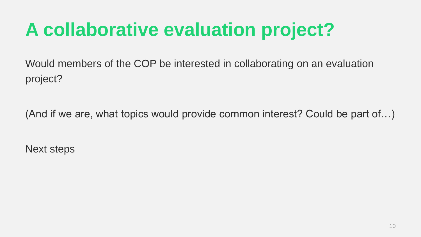## **A collaborative evaluation project?**

Would members of the COP be interested in collaborating on an evaluation project?

(And if we are, what topics would provide common interest? Could be part of…)

Next steps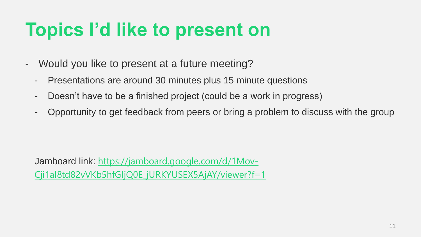#### **Topics I'd like to present on**

- Would you like to present at a future meeting?
	- Presentations are around 30 minutes plus 15 minute questions
	- Doesn't have to be a finished project (could be a work in progress)
	- Opportunity to get feedback from peers or bring a problem to discuss with the group

Jamboard link: https://jamboard.google.com/d/1Mov-[Cji1al8td82vVKb5hfGIjQ0E\\_jURKYUSEX5AjAY/viewer?f=1](https://jamboard.google.com/d/1Mov-Cji1al8td82vVKb5hfGIjQ0E_jURKYUSEX5AjAY/viewer?f=1)